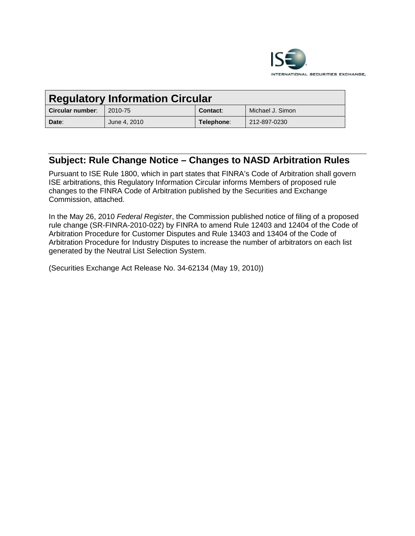

| <b>Regulatory Information Circular</b> |              |                 |                  |
|----------------------------------------|--------------|-----------------|------------------|
| Circular number:                       | 2010-75      | <b>Contact:</b> | Michael J. Simon |
| Date:                                  | June 4, 2010 | Telephone:      | 212-897-0230     |

# **Subject: Rule Change Notice – Changes to NASD Arbitration Rules**

Pursuant to ISE Rule 1800, which in part states that FINRA's Code of Arbitration shall govern ISE arbitrations, this Regulatory Information Circular informs Members of proposed rule changes to the FINRA Code of Arbitration published by the Securities and Exchange Commission, attached.

In the May 26, 2010 *Federal Register*, the Commission published notice of filing of a proposed rule change (SR-FINRA-2010-022) by FINRA to amend Rule 12403 and 12404 of the Code of Arbitration Procedure for Customer Disputes and Rule 13403 and 13404 of the Code of Arbitration Procedure for Industry Disputes to increase the number of arbitrators on each list generated by the Neutral List Selection System.

(Securities Exchange Act Release No. 34-62134 (May 19, 2010))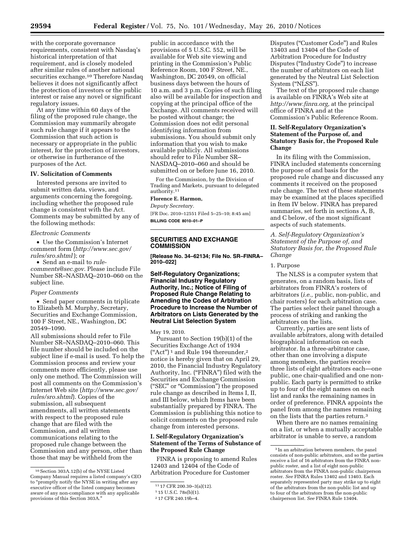with the corporate governance requirements, consistent with Nasdaq's historical interpretation of that requirement, and is closely modeled after similar rules of another national securities exchange.<sup>10</sup> Therefore Nasdaq

believes it does not significantly affect the protection of investors or the public interest or raise any novel or significant regulatory issues.

At any time within 60 days of the filing of the proposed rule change, the Commission may summarily abrogate such rule change if it appears to the Commission that such action is necessary or appropriate in the public interest, for the protection of investors, or otherwise in furtherance of the purposes of the Act.

#### **IV. Solicitation of Comments**

Interested persons are invited to submit written data, views, and arguments concerning the foregoing, including whether the proposed rule change is consistent with the Act. Comments may be submitted by any of the following methods:

## *Electronic Comments*

• Use the Commission's Internet comment form (*http://www.sec.gov/ rules/sro.shtml*); or

• Send an e-mail to *rulecomments@sec.gov.* Please include File Number SR–NASDAQ–2010–060 on the subject line.

## *Paper Comments*

• Send paper comments in triplicate to Elizabeth M. Murphy, Secretary, Securities and Exchange Commission, 100 F Street, NE., Washington, DC 20549–1090.

All submissions should refer to File Number SR–NASDAQ–2010–060. This file number should be included on the subject line if e-mail is used. To help the Commission process and review your comments more efficiently, please use only one method. The Commission will post all comments on the Commission's Internet Web site (*http://www.sec.gov/ rules/sro.shtml*). Copies of the submission, all subsequent amendments, all written statements with respect to the proposed rule change that are filed with the Commission, and all written communications relating to the proposed rule change between the Commission and any person, other than those that may be withheld from the

public in accordance with the provisions of 5 U.S.C. 552, will be available for Web site viewing and printing in the Commission's Public Reference Room, 100 F Street, NE., Washington, DC 20549, on official business days between the hours of 10 a.m. and 3 p.m. Copies of such filing also will be available for inspection and copying at the principal office of the Exchange. All comments received will be posted without change; the Commission does not edit personal identifying information from submissions. You should submit only information that you wish to make available publicly. All submissions should refer to File Number SR– NASDAQ–2010–060 and should be submitted on or before June 16, 2010.

For the Commission, by the Division of Trading and Markets, pursuant to delegated authority.11

## **Florence E. Harmon,**

*Deputy Secretary.* 

[FR Doc. 2010–12551 Filed 5–25–10; 8:45 am] **BILLING CODE 8010–01–P** 

# **SECURITIES AND EXCHANGE COMMISSION**

**[Release No. 34–62134; File No. SR–FINRA– 2010–022]** 

## **Self-Regulatory Organizations; Financial Industry Regulatory Authority, Inc.; Notice of Filing of Proposed Rule Change Relating to Amending the Codes of Arbitration Procedure to Increase the Number of Arbitrators on Lists Generated by the Neutral List Selection System**

May 19, 2010.

Pursuant to Section 19(b)(1) of the Securities Exchange Act of 1934 ("Act")<sup>1</sup> and Rule 194 thereunder,<sup>2</sup> notice is hereby given that on April 29, 2010, the Financial Industry Regulatory Authority, Inc. (''FINRA'') filed with the Securities and Exchange Commission (''SEC'' or ''Commission'') the proposed rule change as described in Items I, II, and III below, which Items have been substantially prepared by FINRA. The Commission is publishing this notice to solicit comments on the proposed rule change from interested persons.

## **I. Self-Regulatory Organization's Statement of the Terms of Substance of the Proposed Rule Change**

FINRA is proposing to amend Rules 12403 and 12404 of the Code of Arbitration Procedure for Customer

Disputes (''Customer Code'') and Rules 13403 and 13404 of the Code of Arbitration Procedure for Industry Disputes (''Industry Code'') to increase the number of arbitrators on each list generated by the Neutral List Selection System (''NLSS'').

The text of the proposed rule change is available on FINRA's Web site at *http://www.finra.org,* at the principal office of FINRA and at the Commission's Public Reference Room.

## **II. Self-Regulatory Organization's Statement of the Purpose of, and Statutory Basis for, the Proposed Rule Change**

In its filing with the Commission, FINRA included statements concerning the purpose of and basis for the proposed rule change and discussed any comments it received on the proposed rule change. The text of these statements may be examined at the places specified in Item IV below. FINRA has prepared summaries, set forth in sections A, B, and C below, of the most significant aspects of such statements.

#### *A. Self-Regulatory Organization's Statement of the Purpose of, and Statutory Basis for, the Proposed Rule Change*

#### 1. Purpose

The NLSS is a computer system that generates, on a random basis, lists of arbitrators from FINRA's rosters of arbitrators (*i.e.,* public, non-public, and chair rosters) for each arbitration case. The parties select their panel through a process of striking and ranking the arbitrators on the lists.

Currently, parties are sent lists of available arbitrators, along with detailed biographical information on each arbitrator. In a three-arbitrator case, other than one involving a dispute among members, the parties receive three lists of eight arbitrators each—one public, one chair-qualified and one nonpublic. Each party is permitted to strike up to four of the eight names on each list and ranks the remaining names in order of preference. FINRA appoints the panel from among the names remaining on the lists that the parties return.3

When there are no names remaining on a list, or when a mutually acceptable arbitrator is unable to serve, a random

<sup>10</sup>Section 303A.12(b) of the NYSE Listed Company Manual requires a listed company's CEO to "promptly notify the NYSE in writing after any executive officer of the listed company becomes aware of any non-compliance with any applicable provisions of this Section 303A.''

<sup>11</sup> 17 CFR 200.30–3(a)(12).

<sup>1</sup> 15 U.S.C. 78s(b)(1).

<sup>2</sup> 17 CFR 240.19b–4.

<sup>3</sup> In an arbitration between members, the panel consists of non-public arbitrators, and so the parties receive a list of 16 arbitrators from the FINRA nonpublic roster, and a list of eight non-public arbitrators from the FINRA non-public chairperson roster. *See* FINRA Rules 13402 and 13403. Each separately represented party may strike up to eight of the arbitrators from the non-public list and up to four of the arbitrators from the non-public chairperson list. *See* FINRA Rule 13404.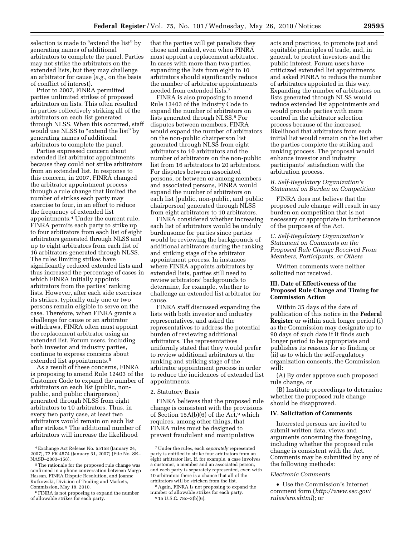selection is made to "extend the list" by generating names of additional arbitrators to complete the panel. Parties may not strike the arbitrators on the extended lists, but they may challenge an arbitrator for cause (*e.g.,* on the basis of conflict of interest).

Prior to 2007, FINRA permitted parties unlimited strikes of proposed arbitrators on lists. This often resulted in parties collectively striking all of the arbitrators on each list generated through NLSS. When this occurred, staff would use NLSS to "extend the list" by generating names of additional arbitrators to complete the panel.

Parties expressed concern about extended list arbitrator appointments because they could not strike arbitrators from an extended list. In response to this concern, in 2007, FINRA changed the arbitrator appointment process through a rule change that limited the number of strikes each party may exercise to four, in an effort to reduce the frequency of extended list appointments.4 Under the current rule, FINRA permits each party to strike up to four arbitrators from each list of eight arbitrators generated through NLSS and up to eight arbitrators from each list of 16 arbitrators generated through NLSS. The rules limiting strikes have significantly reduced extended lists and thus increased the percentage of cases in which FINRA initially appoints arbitrators from the parties' ranking lists. However, after each side exercises its strikes, typically only one or two persons remain eligible to serve on the case. Therefore, when FINRA grants a challenge for cause or an arbitrator withdraws, FINRA often must appoint the replacement arbitrator using an extended list. Forum users, including both investor and industry parties, continue to express concerns about extended list appointments.5

As a result of these concerns, FINRA is proposing to amend Rule 12403 of the Customer Code to expand the number of arbitrators on each list (public, nonpublic, and public chairperson) generated through NLSS from eight arbitrators to 10 arbitrators. Thus, in every two party case, at least two arbitrators would remain on each list after strikes.6 The additional number of arbitrators will increase the likelihood

that the parties will get panelists they chose and ranked, even when FINRA must appoint a replacement arbitrator. In cases with more than two parties, expanding the lists from eight to 10 arbitrators should significantly reduce the number of arbitrator appointments needed from extended lists.7

FINRA is also proposing to amend Rule 13403 of the Industry Code to expand the number of arbitrators on lists generated through NLSS.8 For disputes between members, FINRA would expand the number of arbitrators on the non-public chairperson list generated through NLSS from eight arbitrators to 10 arbitrators and the number of arbitrators on the non-public list from 16 arbitrators to 20 arbitrators. For disputes between associated persons, or between or among members and associated persons, FINRA would expand the number of arbitrators on each list (public, non-public, and public chairperson) generated through NLSS from eight arbitrators to 10 arbitrators.

FINRA considered whether increasing each list of arbitrators would be unduly burdensome for parties since parties would be reviewing the backgrounds of additional arbitrators during the ranking and striking stage of the arbitrator appointment process. In instances where FINRA appoints arbitrators by extended lists, parties still need to review arbitrators' backgrounds to determine, for example, whether to challenge an extended list arbitrator for cause.

FINRA staff discussed expanding the lists with both investor and industry representatives, and asked the representatives to address the potential burden of reviewing additional arbitrators. The representatives uniformly stated that they would prefer to review additional arbitrators at the ranking and striking stage of the arbitrator appointment process in order to reduce the incidences of extended list appointments.

#### 2. Statutory Basis

FINRA believes that the proposed rule change is consistent with the provisions of Section  $15A(b)(6)$  of the Act,<sup>9</sup> which requires, among other things, that FINRA rules must be designed to prevent fraudulent and manipulative

acts and practices, to promote just and equitable principles of trade, and, in general, to protect investors and the public interest. Forum users have criticized extended list appointments and asked FINRA to reduce the number of arbitrators appointed in this way. Expanding the number of arbitrators on lists generated through NLSS would reduce extended list appointments and would provide parties with more control in the arbitrator selection process because of the increased likelihood that arbitrators from each initial list would remain on the list after the parties complete the striking and ranking process. The proposal would enhance investor and industry participants' satisfaction with the arbitration process.

#### *B. Self-Regulatory Organization's Statement on Burden on Competition*

FINRA does not believe that the proposed rule change will result in any burden on competition that is not necessary or appropriate in furtherance of the purposes of the Act.

## *C. Self-Regulatory Organization's Statement on Comments on the Proposed Rule Change Received From Members, Participants, or Others*

Written comments were neither solicited nor received.

## **III. Date of Effectiveness of the Proposed Rule Change and Timing for Commission Action**

Within 35 days of the date of publication of this notice in the **Federal Register** or within such longer period (i) as the Commission may designate up to 90 days of such date if it finds such longer period to be appropriate and publishes its reasons for so finding or (ii) as to which the self-regulatory organization consents, the Commission will:

(A) By order approve such proposed rule change, or

(B) Institute proceedings to determine whether the proposed rule change should be disapproved.

#### **IV. Solicitation of Comments**

Interested persons are invited to submit written data, views and arguments concerning the foregoing, including whether the proposed rule change is consistent with the Act. Comments may be submitted by any of the following methods:

#### *Electronic Comments*

• Use the Commission's Internet comment form (*http://www.sec.gov/ rules/sro.shtml*); or

<sup>4</sup>Exchange Act Release No. 55158 (January 24, 2007), 72 FR 4574 (January 31, 2007) (File No. SR– NASD–2003–158).

<sup>5</sup>The rationale for the proposed rule change was confirmed in a phone conversation between Margo Hassan, FINRA Dispute Resolution, and Joanne Rutkowski, Division of Trading and Markets, Commission, May 18, 2010.

<sup>6</sup>FINRA is not proposing to expand the number of allowable strikes for each party.

<sup>7</sup>Under the rules, each *separately* represented party is entitled to strike four arbitrators from an eight arbitrator list. If, for example, a case involves a customer, a member and an associated person, and each party is separately represented, even with 10 arbitrators there is a chance that all of the arbitrators will be stricken from the list.

<sup>8</sup>Again, FINRA is not proposing to expand the number of allowable strikes for each party. 9 15 U.S.C. 78*o*–3(b)(6).